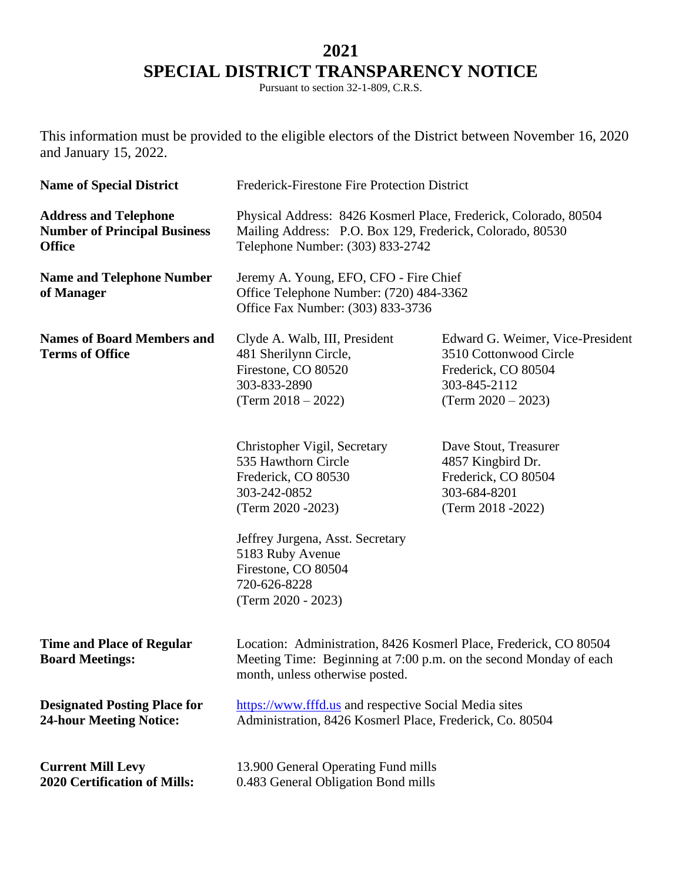## **2021 SPECIAL DISTRICT TRANSPARENCY NOTICE**

Pursuant to section 32-1-809, C.R.S.

This information must be provided to the eligible electors of the District between November 16, 2020 and January 15, 2022.

| <b>Name of Special District</b>                                                      | Frederick-Firestone Fire Protection District                                                                                                                              |                                                                                                                           |
|--------------------------------------------------------------------------------------|---------------------------------------------------------------------------------------------------------------------------------------------------------------------------|---------------------------------------------------------------------------------------------------------------------------|
| <b>Address and Telephone</b><br><b>Number of Principal Business</b><br><b>Office</b> | Physical Address: 8426 Kosmerl Place, Frederick, Colorado, 80504<br>Mailing Address: P.O. Box 129, Frederick, Colorado, 80530<br>Telephone Number: (303) 833-2742         |                                                                                                                           |
| <b>Name and Telephone Number</b><br>of Manager                                       | Jeremy A. Young, EFO, CFO - Fire Chief<br>Office Telephone Number: (720) 484-3362<br>Office Fax Number: (303) 833-3736                                                    |                                                                                                                           |
| <b>Names of Board Members and</b><br><b>Terms of Office</b>                          | Clyde A. Walb, III, President<br>481 Sherilynn Circle,<br>Firestone, CO 80520<br>303-833-2890<br>$(Term 2018 - 2022)$                                                     | Edward G. Weimer, Vice-President<br>3510 Cottonwood Circle<br>Frederick, CO 80504<br>303-845-2112<br>$(Term 2020 - 2023)$ |
|                                                                                      | Christopher Vigil, Secretary<br>535 Hawthorn Circle<br>Frederick, CO 80530<br>303-242-0852<br>(Term 2020 - 2023)                                                          | Dave Stout, Treasurer<br>4857 Kingbird Dr.<br>Frederick, CO 80504<br>303-684-8201<br>(Term 2018 - 2022)                   |
|                                                                                      | Jeffrey Jurgena, Asst. Secretary<br>5183 Ruby Avenue<br>Firestone, CO 80504<br>720-626-8228<br>(Term 2020 - 2023)                                                         |                                                                                                                           |
| <b>Time and Place of Regular</b><br><b>Board Meetings:</b>                           | Location: Administration, 8426 Kosmerl Place, Frederick, CO 80504<br>Meeting Time: Beginning at 7:00 p.m. on the second Monday of each<br>month, unless otherwise posted. |                                                                                                                           |
| <b>Designated Posting Place for</b><br><b>24-hour Meeting Notice:</b>                | https://www.fffd.us and respective Social Media sites<br>Administration, 8426 Kosmerl Place, Frederick, Co. 80504                                                         |                                                                                                                           |
| <b>Current Mill Levy</b><br><b>2020 Certification of Mills:</b>                      | 13.900 General Operating Fund mills<br>0.483 General Obligation Bond mills                                                                                                |                                                                                                                           |